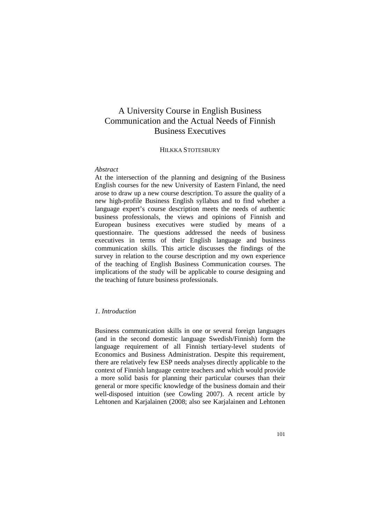# A University Course in English Business Communication and the Actual Needs of Finnish Business Executives

## HILKKA STOTESBURY

#### *Abstract*

At the intersection of the planning and designing of the Business English courses for the new University of Eastern Finland, the need arose to draw up a new course description. To assure the quality of a new high-profile Business English syllabus and to find whether a language expert's course description meets the needs of authentic business professionals, the views and opinions of Finnish and European business executives were studied by means of a questionnaire. The questions addressed the needs of business executives in terms of their English language and business communication skills. This article discusses the findings of the survey in relation to the course description and my own experience of the teaching of English Business Communication courses. The implications of the study will be applicable to course designing and the teaching of future business professionals.

## *1. Introduction*

Business communication skills in one or several foreign languages (and in the second domestic language Swedish/Finnish) form the language requirement of all Finnish tertiary-level students of Economics and Business Administration. Despite this requirement, there are relatively few ESP needs analyses directly applicable to the context of Finnish language centre teachers and which would provide a more solid basis for planning their particular courses than their general or more specific knowledge of the business domain and their well-disposed intuition (see Cowling 2007). A recent article by Lehtonen and Karjalainen (2008; also see Karjalainen and Lehtonen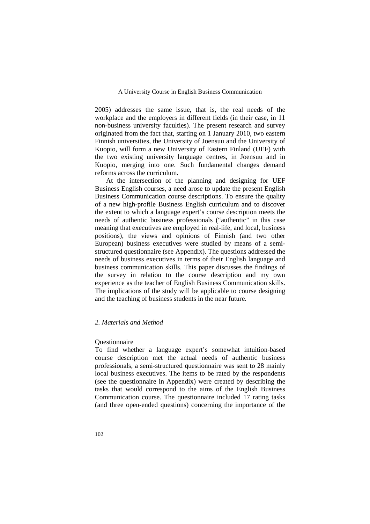2005) addresses the same issue, that is, the real needs of the workplace and the employers in different fields (in their case, in 11 non-business university faculties). The present research and survey originated from the fact that, starting on 1 January 2010, two eastern Finnish universities, the University of Joensuu and the University of Kuopio, will form a new University of Eastern Finland (UEF) with the two existing university language centres, in Joensuu and in Kuopio, merging into one. Such fundamental changes demand reforms across the curriculum.

At the intersection of the planning and designing for UEF Business English courses, a need arose to update the present English Business Communication course descriptions. To ensure the quality of a new high-profile Business English curriculum and to discover the extent to which a language expert's course description meets the needs of authentic business professionals ("authentic" in this case meaning that executives are employed in real-life, and local, business positions), the views and opinions of Finnish (and two other European) business executives were studied by means of a semistructured questionnaire (see Appendix). The questions addressed the needs of business executives in terms of their English language and business communication skills. This paper discusses the findings of the survey in relation to the course description and my own experience as the teacher of English Business Communication skills. The implications of the study will be applicable to course designing and the teaching of business students in the near future.

## *2. Materials and Method*

#### Questionnaire

To find whether a language expert's somewhat intuition-based course description met the actual needs of authentic business professionals, a semi-structured questionnaire was sent to 28 mainly local business executives. The items to be rated by the respondents (see the questionnaire in Appendix) were created by describing the tasks that would correspond to the aims of the English Business Communication course. The questionnaire included 17 rating tasks (and three open-ended questions) concerning the importance of the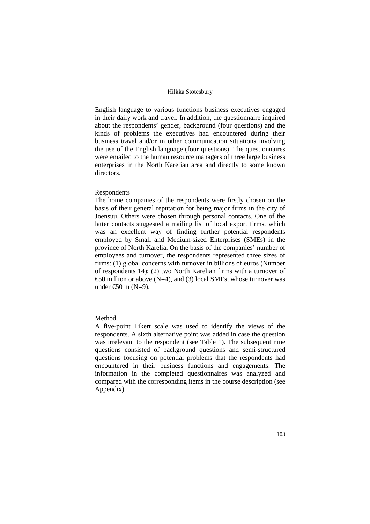English language to various functions business executives engaged in their daily work and travel. In addition, the questionnaire inquired about the respondents' gender, background (four questions) and the kinds of problems the executives had encountered during their business travel and/or in other communication situations involving the use of the English language (four questions). The questionnaires were emailed to the human resource managers of three large business enterprises in the North Karelian area and directly to some known directors.

#### Respondents

The home companies of the respondents were firstly chosen on the basis of their general reputation for being major firms in the city of Joensuu. Others were chosen through personal contacts. One of the latter contacts suggested a mailing list of local export firms, which was an excellent way of finding further potential respondents employed by Small and Medium-sized Enterprises (SMEs) in the province of North Karelia. On the basis of the companies' number of employees and turnover, the respondents represented three sizes of firms: (1) global concerns with turnover in billions of euros (Number of respondents 14); (2) two North Karelian firms with a turnover of €50 million or above (N=4), and (3) local SMEs, whose turnover was under €50 m (N=9).

## Method

A five-point Likert scale was used to identify the views of the respondents. A sixth alternative point was added in case the question was irrelevant to the respondent (see Table 1). The subsequent nine questions consisted of background questions and semi-structured questions focusing on potential problems that the respondents had encountered in their business functions and engagements. The information in the completed questionnaires was analyzed and compared with the corresponding items in the course description (see Appendix).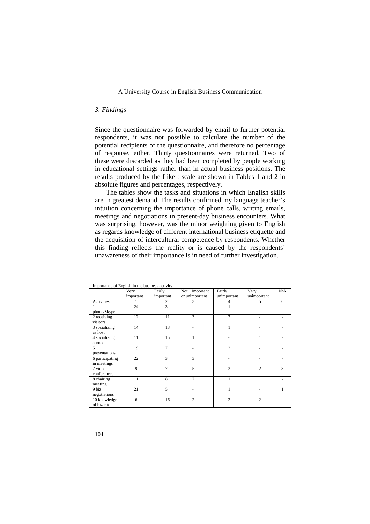#### *3. Findings*

Since the questionnaire was forwarded by email to further potential respondents, it was not possible to calculate the number of the potential recipients of the questionnaire, and therefore no percentage of response, either. Thirty questionnaires were returned. Two of these were discarded as they had been completed by people working in educational settings rather than in actual business positions. The results produced by the Likert scale are shown in Tables 1 and 2 in absolute figures and percentages, respectively.

The tables show the tasks and situations in which English skills are in greatest demand. The results confirmed my language teacher's intuition concerning the importance of phone calls, writing emails, meetings and negotiations in present-day business encounters. What was surprising, however, was the minor weighting given to English as regards knowledge of different international business etiquette and the acquisition of intercultural competence by respondents. Whether this finding reflects the reality or is caused by the respondents' unawareness of their importance is in need of further investigation.

| Importance of English in the business activity |                   |                     |                                 |                       |                     |     |
|------------------------------------------------|-------------------|---------------------|---------------------------------|-----------------------|---------------------|-----|
|                                                | Very<br>important | Fairly<br>important | Not important<br>or unimportant | Fairly<br>unimportant | Very<br>unimportant | N/A |
| <b>Activities</b>                              |                   | 2                   | 3                               | 4                     | 5                   | 6   |
| phone/Skype                                    | 24                | 3                   | ÷                               | 1                     | ٠                   |     |
| 2 receiving<br>visitors                        | 12                | 11                  | 3                               | $\overline{c}$        | ٠                   |     |
| 3 socializing<br>as host                       | 14                | 13                  | ٠                               | 1                     | ٠                   |     |
| 4 socializing<br>abroad                        | 11                | 15                  | 1                               | ä,                    | 1                   |     |
| 5<br>presentations                             | 19                | $\overline{7}$      |                                 | $\overline{c}$        |                     |     |
| 6 participating<br>in meetings                 | 22                | 3                   | 3                               | ٠                     |                     |     |
| 7 video<br>conferences                         | 9                 | $\tau$              | 5                               | $\overline{c}$        | $\overline{c}$      | 3   |
| 8 chairing<br>meeting                          | 11                | 8                   | 7                               | 1                     |                     |     |
| 9 biz<br>negotiations                          | 21                | 5                   | ÷                               | 1                     |                     | 1   |
| 10 knowledge<br>of biz etiq                    | 6                 | 16                  | $\overline{c}$                  | $\overline{c}$        | $\overline{c}$      |     |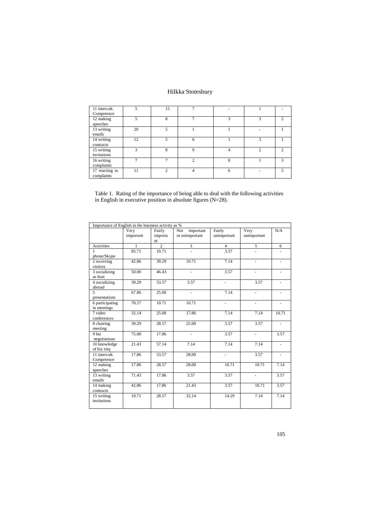| 11 intercult.<br>Competence  |    | 15            |   |   |   |               |
|------------------------------|----|---------------|---|---|---|---------------|
| 12 making<br>speeches        | 5  | 8             | ⇁ | 3 |   | $\mathcal{D}$ |
| 13 writing<br>emails         | 20 | 5             |   |   |   |               |
| 14 writing<br>contracts      | 12 | 5             | 6 |   | 3 |               |
| 15 writing<br>invitations    | 3  | 8             | Q | 4 | ◠ | ↑             |
| 16 writing<br>complaints     |    |               | っ | 8 |   | 3             |
| 17 reacting to<br>complaints | 11 | $\mathcal{L}$ | 4 | 6 |   | 5             |

|  |                                                                 |  |  | Table 1. Rating of the importance of being able to deal with the following activities |  |
|--|-----------------------------------------------------------------|--|--|---------------------------------------------------------------------------------------|--|
|  | in English in executive position in absolute figures $(N=28)$ . |  |  |                                                                                       |  |

| Importance of English in the business activity as % |                   |                         |                                    |                       |                     |                          |
|-----------------------------------------------------|-------------------|-------------------------|------------------------------------|-----------------------|---------------------|--------------------------|
|                                                     | Very<br>important | Fairly<br>importa<br>nt | Not<br>important<br>or unimportant | Fairly<br>unimportant | Very<br>unimportant | N/A                      |
| Activities                                          | 1                 | $\overline{2}$          | 3                                  | $\overline{4}$        | 5                   | 6                        |
| 1                                                   | 85.71             | 10.71                   |                                    | 3.57                  |                     |                          |
| phone/Skype                                         |                   |                         |                                    |                       |                     |                          |
| 2 receiving<br>visitors                             | 42.86             | 39.29                   | 10.71                              | 7.14                  |                     |                          |
| 3 socializing<br>as host                            | 50.00             | 46.43                   |                                    | 3.57                  | ÷,                  |                          |
| $\overline{4}$ socializing<br>abroad                | 39.29             | 53.57                   | 3.57                               | ÷,                    | 3.57                |                          |
| 5<br>presentations                                  | 67.86             | 25.00                   | $\overline{\phantom{a}}$           | 7.14                  | $\blacksquare$      | ÷,                       |
| 6 participating<br>in meetings                      | 78.57             | 10.71                   | 10.71                              | $\frac{1}{2}$         | Ξ.                  | $\overline{\phantom{0}}$ |
| 7 video<br>conferences                              | 32.14             | 25.00                   | 17.86                              | 7.14                  | 7.14                | 10.71                    |
| 8 chairing<br>meeting                               | 39.29             | 28.57                   | 25.00                              | 3.57                  | 3.57                |                          |
| 9 biz<br>negotiations                               | 75.00             | 17.86                   |                                    | 3.57                  |                     | 3.57                     |
| 10 knowledge<br>of biz etiq                         | 21.43             | 57.14                   | 7.14                               | 7.14                  | 7.14                | ä,                       |
| 11 intercult.<br>Competence                         | 17.86             | 53.57                   | 28.00                              | ÷,                    | 3.57                | $\blacksquare$           |
| 12 making<br>speeches                               | 17.86             | 28.57                   | 28.00                              | 10.71                 | 10.71               | 7.14                     |
| $\overline{13}$ writing<br>emails                   | 71.43             | 17.86                   | 3.57                               | 3.57                  | ÷.                  | 3.57                     |
| 14 making<br>contracts                              | 42.86             | 17.86                   | 21.43                              | 3.57                  | 10.71               | 3.57                     |
| 15 writing<br>invitations                           | 10.71             | 28.57                   | 32.14                              | 14.29                 | 7.14                | 7.14                     |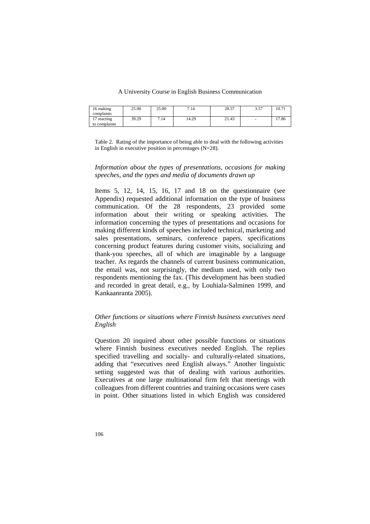| 16 making         | 25.00 | 25.00 | 7.14  | 28.57 | 257<br>، ر. ر | 10.71 |
|-------------------|-------|-------|-------|-------|---------------|-------|
| complaints        |       |       |       |       |               |       |
| $1 -$<br>reacting | 39.29 | 7.14  | 14.29 | 21.43 |               | 17.86 |
| to complaints     |       |       |       |       |               |       |

Table 2. Rating of the importance of being able to deal with the following activities in English in executive position in percentages  $(N=28)$ .

## *Information about the types of presentations, occasions for making speeches, and the types and media of documents drawn up*

Items 5, 12, 14, 15, 16, 17 and 18 on the questionnaire (see Appendix) requested additional information on the type of business communication. Of the 28 respondents, 23 provided some information about their writing or speaking activities. The information concerning the types of presentations and occasions for making different kinds of speeches included technical, marketing and sales presentations, seminars, conference papers, specifications concerning product features during customer visits, socializing and thank-you speeches, all of which are imaginable by a language teacher. As regards the channels of current business communication, the email was, not surprisingly, the medium used, with only two respondents mentioning the fax. (This development has been studied and recorded in great detail, e.g., by Louhiala-Salminen 1999, and Kankaanranta 2005).

## *Other functions or situations where Finnish business executives need English*

Question 20 inquired about other possible functions or situations where Finnish business executives needed English. The replies specified travelling and socially- and culturally-related situations, adding that "executives need English always." Another linguistic setting suggested was that of dealing with various authorities. Executives at one large multinational firm felt that meetings with colleagues from different countries and training occasions were cases in point. Other situations listed in which English was considered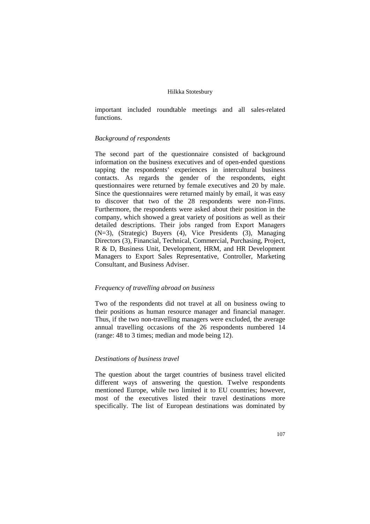important included roundtable meetings and all sales-related functions.

## *Background of respondents*

The second part of the questionnaire consisted of background information on the business executives and of open-ended questions tapping the respondents' experiences in intercultural business contacts. As regards the gender of the respondents, eight questionnaires were returned by female executives and 20 by male. Since the questionnaires were returned mainly by email, it was easy to discover that two of the 28 respondents were non-Finns. Furthermore, the respondents were asked about their position in the company, which showed a great variety of positions as well as their detailed descriptions. Their jobs ranged from Export Managers (N=3), (Strategic) Buyers (4), Vice Presidents (3), Managing Directors (3), Financial, Technical, Commercial, Purchasing, Project, R & D, Business Unit, Development, HRM, and HR Development Managers to Export Sales Representative, Controller, Marketing Consultant, and Business Adviser.

#### *Frequency of travelling abroad on business*

Two of the respondents did not travel at all on business owing to their positions as human resource manager and financial manager. Thus, if the two non-travelling managers were excluded, the average annual travelling occasions of the 26 respondents numbered 14 (range: 48 to 3 times; median and mode being 12).

## *Destinations of business travel*

The question about the target countries of business travel elicited different ways of answering the question. Twelve respondents mentioned Europe, while two limited it to EU countries; however, most of the executives listed their travel destinations more specifically. The list of European destinations was dominated by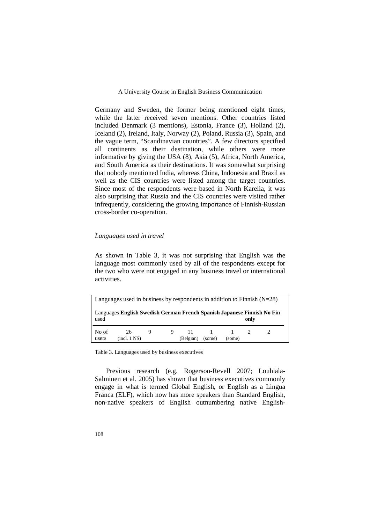Germany and Sweden, the former being mentioned eight times, while the latter received seven mentions. Other countries listed included Denmark (3 mentions), Estonia, France (3), Holland (2), Iceland (2), Ireland, Italy, Norway (2), Poland, Russia (3), Spain, and the vague term, "Scandinavian countries". A few directors specified all continents as their destination, while others were more informative by giving the USA (8), Asia (5), Africa, North America, and South America as their destinations. It was somewhat surprising that nobody mentioned India, whereas China, Indonesia and Brazil as well as the CIS countries were listed among the target countries. Since most of the respondents were based in North Karelia, it was also surprising that Russia and the CIS countries were visited rather infrequently, considering the growing importance of Finnish-Russian cross-border co-operation.

## *Languages used in travel*

As shown in Table 3, it was not surprising that English was the language most commonly used by all of the respondents except for the two who were not engaged in any business travel or international activities.

| Languages used in business by respondents in addition to Finnish $(N=28)$ |                                                                         |   |    |           |        |        |      |  |
|---------------------------------------------------------------------------|-------------------------------------------------------------------------|---|----|-----------|--------|--------|------|--|
| used                                                                      | Languages English Swedish German French Spanish Japanese Finnish No Fin |   |    |           |        |        | only |  |
| No of<br>users                                                            | 26<br>(incl. 1 NS)                                                      | 9 | 9. | (Belgian) | (some) | (some) |      |  |

Table 3. Languages used by business executives

Previous research (e.g. Rogerson-Revell 2007; Louhiala-Salminen et al. 2005) has shown that business executives commonly engage in what is termed Global English, or English as a Lingua Franca (ELF), which now has more speakers than Standard English, non-native speakers of English outnumbering native English-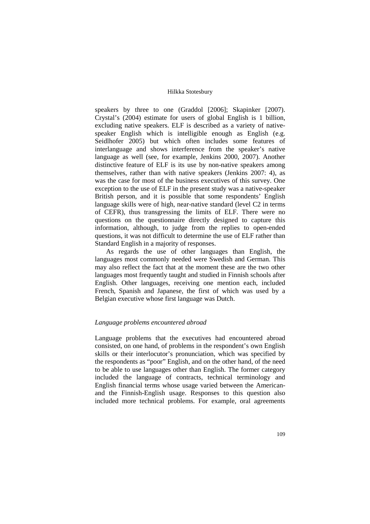speakers by three to one (Graddol [2006]; Skapinker [2007). Crystal's (2004) estimate for users of global English is 1 billion, excluding native speakers. ELF is described as a variety of nativespeaker English which is intelligible enough as English (e.g. Seidlhofer 2005) but which often includes some features of interlanguage and shows interference from the speaker's native language as well (see, for example, Jenkins 2000, 2007). Another distinctive feature of ELF is its use by non-native speakers among themselves, rather than with native speakers (Jenkins 2007: 4), as was the case for most of the business executives of this survey. One exception to the use of ELF in the present study was a native-speaker British person, and it is possible that some respondents' English language skills were of high, near-native standard (level C2 in terms of CEFR), thus transgressing the limits of ELF. There were no questions on the questionnaire directly designed to capture this information, although, to judge from the replies to open-ended questions, it was not difficult to determine the use of ELF rather than Standard English in a majority of responses.

As regards the use of other languages than English, the languages most commonly needed were Swedish and German. This may also reflect the fact that at the moment these are the two other languages most frequently taught and studied in Finnish schools after English. Other languages, receiving one mention each, included French, Spanish and Japanese, the first of which was used by a Belgian executive whose first language was Dutch.

#### *Language problems encountered abroad*

Language problems that the executives had encountered abroad consisted, on one hand, of problems in the respondent's own English skills or their interlocutor's pronunciation, which was specified by the respondents as "poor" English, and on the other hand, of the need to be able to use languages other than English. The former category included the language of contracts, technical terminology and English financial terms whose usage varied between the Americanand the Finnish-English usage. Responses to this question also included more technical problems. For example, oral agreements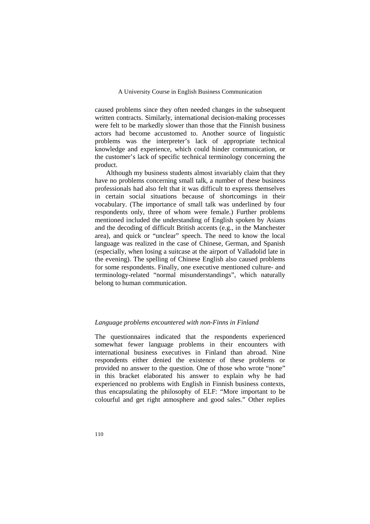caused problems since they often needed changes in the subsequent written contracts. Similarly, international decision-making processes were felt to be markedly slower than those that the Finnish business actors had become accustomed to. Another source of linguistic problems was the interpreter's lack of appropriate technical knowledge and experience, which could hinder communication, or the customer's lack of specific technical terminology concerning the product.

Although my business students almost invariably claim that they have no problems concerning small talk, a number of these business professionals had also felt that it was difficult to express themselves in certain social situations because of shortcomings in their vocabulary. (The importance of small talk was underlined by four respondents only, three of whom were female.) Further problems mentioned included the understanding of English spoken by Asians and the decoding of difficult British accents (e.g., in the Manchester area), and quick or "unclear" speech. The need to know the local language was realized in the case of Chinese, German, and Spanish (especially, when losing a suitcase at the airport of Valladolid late in the evening). The spelling of Chinese English also caused problems for some respondents. Finally, one executive mentioned culture- and terminology-related "normal misunderstandings", which naturally belong to human communication.

## *Language problems encountered with non-Finns in Finland*

The questionnaires indicated that the respondents experienced somewhat fewer language problems in their encounters with international business executives in Finland than abroad. Nine respondents either denied the existence of these problems or provided no answer to the question. One of those who wrote "none" in this bracket elaborated his answer to explain why he had experienced no problems with English in Finnish business contexts, thus encapsulating the philosophy of ELF: "More important to be colourful and get right atmosphere and good sales." Other replies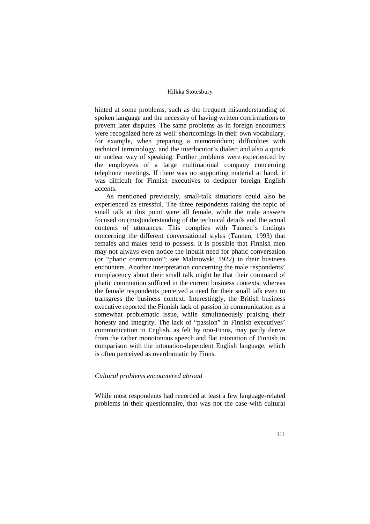hinted at some problems, such as the frequent misunderstanding of spoken language and the necessity of having written confirmations to prevent later disputes. The same problems as in foreign encounters were recognized here as well: shortcomings in their own vocabulary, for example, when preparing a memorandum; difficulties with technical terminology, and the interlocutor's dialect and also a quick or unclear way of speaking. Further problems were experienced by the employees of a large multinational company concerning telephone meetings. If there was no supporting material at hand, it was difficult for Finnish executives to decipher foreign English accents.

As mentioned previously, small-talk situations could also be experienced as stressful. The three respondents raising the topic of small talk at this point were all female, while the male answers focused on (mis)understanding of the technical details and the actual contents of utterances. This complies with Tannen's findings concerning the different conversational styles (Tannen, 1993) that females and males tend to possess. It is possible that Finnish men may not always even notice the inbuilt need for phatic conversation (or "phatic communion"; see Malinowski 1922) in their business encounters. Another interpretation concerning the male respondents' complacency about their small talk might be that their command of phatic communion sufficed in the current business contexts, whereas the female respondents perceived a need for their small talk even to transgress the business context. Interestingly, the British business executive reported the Finnish lack of passion in communication as a somewhat problematic issue, while simultaneously praising their honesty and integrity. The lack of "passion" in Finnish executives' communication in English, as felt by non-Finns, may partly derive from the rather monotonous speech and flat intonation of Finnish in comparison with the intonation-dependent English language, which is often perceived as overdramatic by Finns.

### *Cultural problems encountered abroad*

While most respondents had recorded at least a few language-related problems in their questionnaire, that was not the case with cultural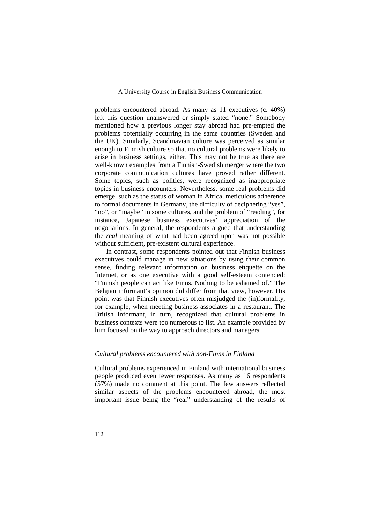problems encountered abroad. As many as 11 executives (c. 40%) left this question unanswered or simply stated "none." Somebody mentioned how a previous longer stay abroad had pre-empted the problems potentially occurring in the same countries (Sweden and the UK). Similarly, Scandinavian culture was perceived as similar enough to Finnish culture so that no cultural problems were likely to arise in business settings, either. This may not be true as there are well-known examples from a Finnish-Swedish merger where the two corporate communication cultures have proved rather different. Some topics, such as politics, were recognized as inappropriate topics in business encounters. Nevertheless, some real problems did emerge, such as the status of woman in Africa, meticulous adherence to formal documents in Germany, the difficulty of deciphering "yes", "no", or "maybe" in some cultures, and the problem of "reading", for instance, Japanese business executives' appreciation of the negotiations. In general, the respondents argued that understanding the *real* meaning of what had been agreed upon was not possible without sufficient, pre-existent cultural experience.

In contrast, some respondents pointed out that Finnish business executives could manage in new situations by using their common sense, finding relevant information on business etiquette on the Internet, or as one executive with a good self-esteem contended: "Finnish people can act like Finns. Nothing to be ashamed of." The Belgian informant's opinion did differ from that view, however. His point was that Finnish executives often misjudged the (in)formality, for example, when meeting business associates in a restaurant. The British informant, in turn, recognized that cultural problems in business contexts were too numerous to list. An example provided by him focused on the way to approach directors and managers.

## *Cultural problems encountered with non-Finns in Finland*

Cultural problems experienced in Finland with international business people produced even fewer responses. As many as 16 respondents (57%) made no comment at this point. The few answers reflected similar aspects of the problems encountered abroad, the most important issue being the "real" understanding of the results of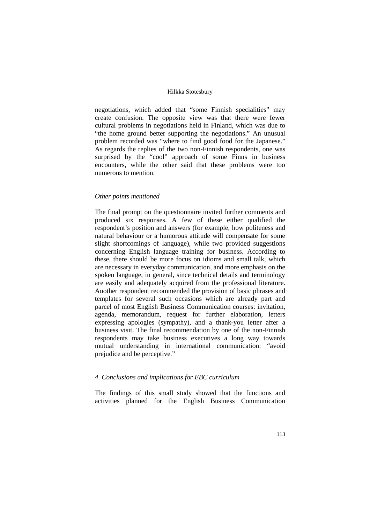negotiations, which added that "some Finnish specialities" may create confusion. The opposite view was that there were fewer cultural problems in negotiations held in Finland, which was due to "the home ground better supporting the negotiations." An unusual problem recorded was "where to find good food for the Japanese." As regards the replies of the two non-Finnish respondents, one was surprised by the "cool" approach of some Finns in business encounters, while the other said that these problems were too numerous to mention.

#### *Other points mentioned*

The final prompt on the questionnaire invited further comments and produced six responses. A few of these either qualified the respondent's position and answers (for example, how politeness and natural behaviour or a humorous attitude will compensate for some slight shortcomings of language), while two provided suggestions concerning English language training for business. According to these, there should be more focus on idioms and small talk, which are necessary in everyday communication, and more emphasis on the spoken language, in general, since technical details and terminology are easily and adequately acquired from the professional literature. Another respondent recommended the provision of basic phrases and templates for several such occasions which are already part and parcel of most English Business Communication courses: invitation, agenda, memorandum, request for further elaboration, letters expressing apologies (sympathy), and a thank-you letter after a business visit. The final recommendation by one of the non-Finnish respondents may take business executives a long way towards mutual understanding in international communication: "avoid prejudice and be perceptive."

## *4. Conclusions and implications for EBC curriculum*

The findings of this small study showed that the functions and activities planned for the English Business Communication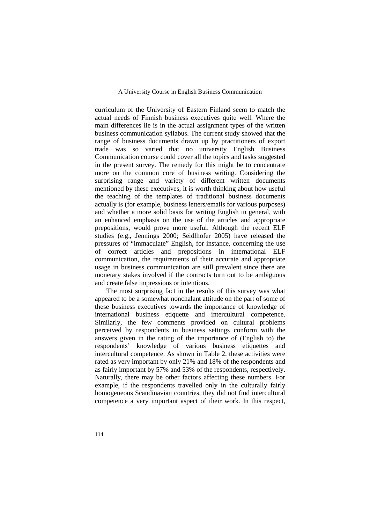curriculum of the University of Eastern Finland seem to match the actual needs of Finnish business executives quite well. Where the main differences lie is in the actual assignment types of the written business communication syllabus. The current study showed that the range of business documents drawn up by practitioners of export trade was so varied that no university English Business Communication course could cover all the topics and tasks suggested in the present survey. The remedy for this might be to concentrate more on the common core of business writing. Considering the surprising range and variety of different written documents mentioned by these executives, it is worth thinking about how useful the teaching of the templates of traditional business documents actually is (for example, business letters/emails for various purposes) and whether a more solid basis for writing English in general, with an enhanced emphasis on the use of the articles and appropriate prepositions, would prove more useful. Although the recent ELF studies (e.g., Jennings 2000; Seidlhofer 2005) have released the pressures of "immaculate" English, for instance, concerning the use of correct articles and prepositions in international ELF communication, the requirements of their accurate and appropriate usage in business communication are still prevalent since there are monetary stakes involved if the contracts turn out to be ambiguous and create false impressions or intentions.

The most surprising fact in the results of this survey was what appeared to be a somewhat nonchalant attitude on the part of some of these business executives towards the importance of knowledge of international business etiquette and intercultural competence. Similarly, the few comments provided on cultural problems perceived by respondents in business settings conform with the answers given in the rating of the importance of (English to) the respondents' knowledge of various business etiquettes and intercultural competence. As shown in Table 2, these activities were rated as very important by only 21% and 18% of the respondents and as fairly important by 57% and 53% of the respondents, respectively. Naturally, there may be other factors affecting these numbers. For example, if the respondents travelled only in the culturally fairly homogeneous Scandinavian countries, they did not find intercultural competence a very important aspect of their work. In this respect,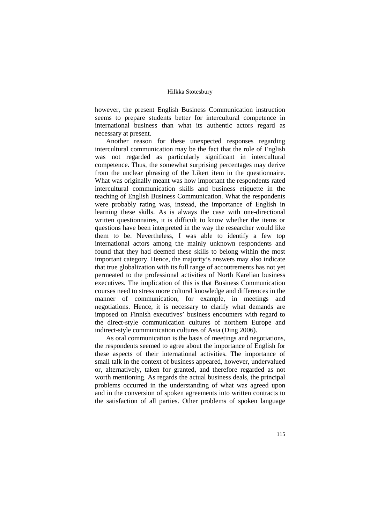however, the present English Business Communication instruction seems to prepare students better for intercultural competence in international business than what its authentic actors regard as necessary at present.

Another reason for these unexpected responses regarding intercultural communication may be the fact that the role of English was not regarded as particularly significant in intercultural competence. Thus, the somewhat surprising percentages may derive from the unclear phrasing of the Likert item in the questionnaire. What was originally meant was how important the respondents rated intercultural communication skills and business etiquette in the teaching of English Business Communication. What the respondents were probably rating was, instead, the importance of English in learning these skills. As is always the case with one-directional written questionnaires, it is difficult to know whether the items or questions have been interpreted in the way the researcher would like them to be. Nevertheless, I was able to identify a few top international actors among the mainly unknown respondents and found that they had deemed these skills to belong within the most important category. Hence, the majority's answers may also indicate that true globalization with its full range of accoutrements has not yet permeated to the professional activities of North Karelian business executives. The implication of this is that Business Communication courses need to stress more cultural knowledge and differences in the manner of communication, for example, in meetings and negotiations. Hence, it is necessary to clarify what demands are imposed on Finnish executives' business encounters with regard to the direct-style communication cultures of northern Europe and indirect-style communication cultures of Asia (Ding 2006).

As oral communication is the basis of meetings and negotiations, the respondents seemed to agree about the importance of English for these aspects of their international activities. The importance of small talk in the context of business appeared, however, undervalued or, alternatively, taken for granted, and therefore regarded as not worth mentioning. As regards the actual business deals, the principal problems occurred in the understanding of what was agreed upon and in the conversion of spoken agreements into written contracts to the satisfaction of all parties. Other problems of spoken language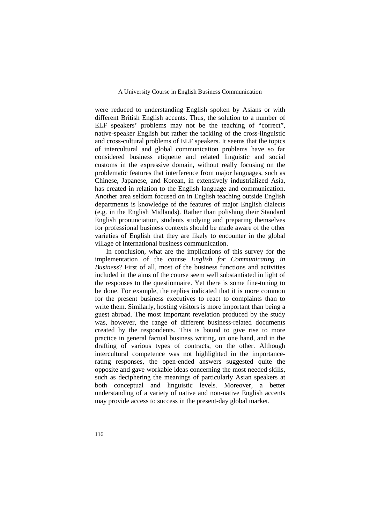were reduced to understanding English spoken by Asians or with different British English accents. Thus, the solution to a number of ELF speakers' problems may not be the teaching of "correct", native-speaker English but rather the tackling of the cross-linguistic and cross-cultural problems of ELF speakers. It seems that the topics of intercultural and global communication problems have so far considered business etiquette and related linguistic and social customs in the expressive domain, without really focusing on the problematic features that interference from major languages, such as Chinese, Japanese, and Korean, in extensively industrialized Asia, has created in relation to the English language and communication. Another area seldom focused on in English teaching outside English departments is knowledge of the features of major English dialects (e.g. in the English Midlands). Rather than polishing their Standard English pronunciation, students studying and preparing themselves for professional business contexts should be made aware of the other varieties of English that they are likely to encounter in the global village of international business communication.

In conclusion, what are the implications of this survey for the implementation of the course *English for Communicating in Business*? First of all, most of the business functions and activities included in the aims of the course seem well substantiated in light of the responses to the questionnaire. Yet there is some fine-tuning to be done. For example, the replies indicated that it is more common for the present business executives to react to complaints than to write them. Similarly, hosting visitors is more important than being a guest abroad. The most important revelation produced by the study was, however, the range of different business-related documents created by the respondents. This is bound to give rise to more practice in general factual business writing, on one hand, and in the drafting of various types of contracts, on the other. Although intercultural competence was not highlighted in the importancerating responses, the open-ended answers suggested quite the opposite and gave workable ideas concerning the most needed skills, such as deciphering the meanings of particularly Asian speakers at both conceptual and linguistic levels. Moreover, a better understanding of a variety of native and non-native English accents may provide access to success in the present-day global market.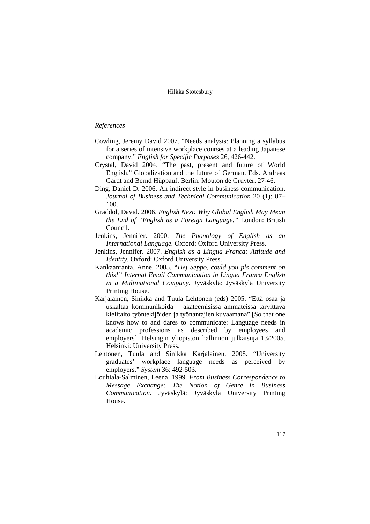## *References*

- Cowling, Jeremy David 2007. "Needs analysis: Planning a syllabus for a series of intensive workplace courses at a leading Japanese company." *English for Specific Purposes* 26, 426-442.
- Crystal, David 2004. "The past, present and future of World English." Globalization and the future of German. Eds. Andreas Gardt and Bernd Hüppauf. Berlin: Mouton de Gruyter. 27-46.
- Ding, Daniel D. 2006. An indirect style in business communication. *Journal of Business and Technical Communication* 20 (1): 87– 100.
- Graddol, David. 2006. *English Next: Why Global English May Mean the End of "English as a Foreign Language."* London: British Council.
- Jenkins, Jennifer. 2000. *The Phonology of English as an International Language.* Oxford: Oxford University Press.
- Jenkins, Jennifer. 2007. *English as a Lingua Franca: Attitude and Identity.* Oxford: Oxford University Press.
- Kankaanranta, Anne. 2005. *"Hej Seppo, could you pls comment on this!" Internal Email Communication in Lingua Franca English in a Multinational Company.* Jyväskylä: Jyväskylä University Printing House.
- Karjalainen, Sinikka and Tuula Lehtonen (eds) 2005. "Että osaa ja uskaltaa kommunikoida – akateemisissa ammateissa tarvittava kielitaito työntekijöiden ja työnantajien kuvaamana" [So that one knows how to and dares to communicate: Language needs in academic professions as described by employees and employers]. Helsingin yliopiston hallinnon julkaisuja 13/2005. Helsinki: University Press.
- Lehtonen, Tuula and Sinikka Karjalainen. 2008. "University graduates' workplace language needs as perceived by employers." *System* 36: 492-503.
- Louhiala-Salminen, Leena. 1999. *From Business Correspondence to Message Exchange: The Notion of Genre in Business Communication.* Jyväskylä: Jyväskylä University Printing House.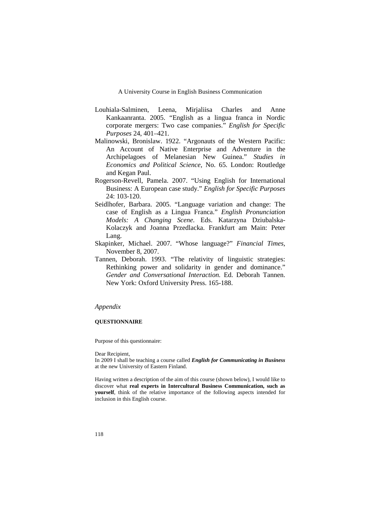- Louhiala-Salminen, Leena, Mirjaliisa Charles and Anne Kankaanranta. 2005. "English as a lingua franca in Nordic corporate mergers: Two case companies." *English for Specific Purposes* 24, 401–421.
- Malinowski, Bronislaw. 1922. "Argonauts of the Western Pacific: An Account of Native Enterprise and Adventure in the Archipelagoes of Melanesian New Guinea." *Studies in Economics and Political Science*, No. 65. London: Routledge and Kegan Paul.
- Rogerson-Revell, Pamela. 2007. "Using English for International Business: A European case study." *English for Specific Purposes* 24: 103-120.
- Seidlhofer, Barbara. 2005. "Language variation and change: The case of English as a Lingua Franca." *English Pronunciation Models: A Changing Scene.* Eds. Katarzyna Dziubalska-Kolaczyk and Joanna Przedlacka. Frankfurt am Main: Peter Lang.
- Skapinker, Michael. 2007. "Whose language?" *Financial Times,*  November 8, 2007.
- Tannen, Deborah. 1993. "The relativity of linguistic strategies: Rethinking power and solidarity in gender and dominance." *Gender and Conversational Interaction.* Ed. Deborah Tannen. New York: Oxford University Press. 165-188.

### *Appendix*

#### **QUESTIONNAIRE**

Purpose of this questionnaire:

#### Dear Recipient,

In 2009 I shall be teaching a course called *English for Communicating in Business* at the new University of Eastern Finland.

Having written a description of the aim of this course (shown below), I would like to discover what **real experts in Intercultural Business Communication, such as yourself**, think of the relative importance of the following aspects intended for inclusion in this English course.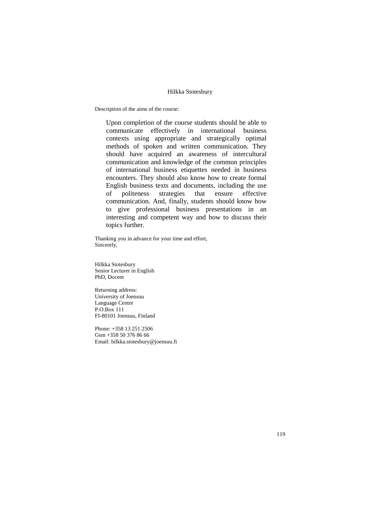Description of the aims of the course:

Upon completion of the course students should be able to communicate effectively in international business contexts using appropriate and strategically optimal methods of spoken and written communication. They should have acquired an awareness of intercultural communication and knowledge of the common principles of international business etiquettes needed in business encounters. They should also know how to create formal English business texts and documents, including the use of politeness strategies that ensure effective communication. And, finally, students should know how to give professional business presentations in an interesting and competent way and how to discuss their topics further.

Thanking you in advance for your time and effort, Sincerely,

Hilkka Stotesbury Senior Lecturer in English PhD, Docent

Returning address: University of Joensuu Language Centre P.O.Box 111 FI-80101 Joensuu, Finland

Phone: +358 13 251 2506 Gsm +358 50 376 86 66 Email: hilkka.stotesbury@joensuu.fi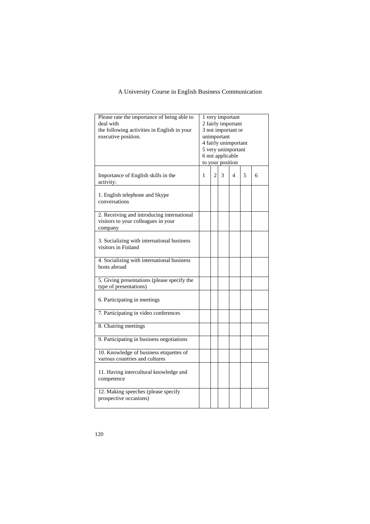| Please rate the importance of being able to<br>deal with<br>the following activities in English in your<br>executive position. |   |                | unimportant<br>6 not applicable<br>to your position | 1 very important<br>2 fairly important<br>3 not important or<br>4 fairly unimportant<br>5 very unimportant |   |   |
|--------------------------------------------------------------------------------------------------------------------------------|---|----------------|-----------------------------------------------------|------------------------------------------------------------------------------------------------------------|---|---|
| Importance of English skills in the<br>activity:                                                                               | 1 | $\overline{c}$ | 3                                                   | 4                                                                                                          | 5 | 6 |
| 1. English telephone and Skype<br>conversations                                                                                |   |                |                                                     |                                                                                                            |   |   |
| 2. Receiving and introducing international<br>visitors to your colleagues in your<br>company                                   |   |                |                                                     |                                                                                                            |   |   |
| 3. Socializing with international business<br>visitors in Finland                                                              |   |                |                                                     |                                                                                                            |   |   |
| 4. Socializing with international business<br>hosts abroad                                                                     |   |                |                                                     |                                                                                                            |   |   |
| 5. Giving presentations (please specify the<br>type of presentations)                                                          |   |                |                                                     |                                                                                                            |   |   |
| 6. Participating in meetings                                                                                                   |   |                |                                                     |                                                                                                            |   |   |
| 7. Participating in video conferences                                                                                          |   |                |                                                     |                                                                                                            |   |   |
| 8. Chairing meetings                                                                                                           |   |                |                                                     |                                                                                                            |   |   |
| 9. Participating in business negotiations                                                                                      |   |                |                                                     |                                                                                                            |   |   |
| 10. Knowledge of business etiquettes of<br>various countries and cultures                                                      |   |                |                                                     |                                                                                                            |   |   |
| 11. Having intercultural knowledge and<br>competence                                                                           |   |                |                                                     |                                                                                                            |   |   |
| 12. Making speeches (please specify<br>prospective occasions)                                                                  |   |                |                                                     |                                                                                                            |   |   |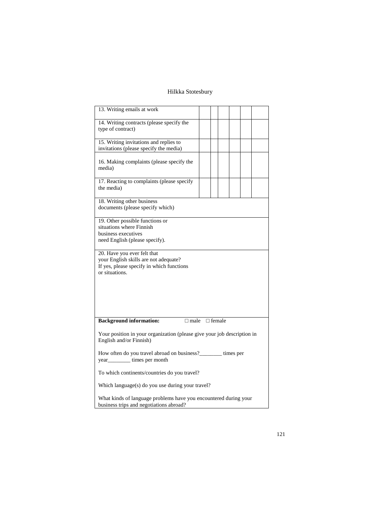| 13. Writing emails at work                                              |  |  |               |  |  |  |  |  |
|-------------------------------------------------------------------------|--|--|---------------|--|--|--|--|--|
| 14. Writing contracts (please specify the                               |  |  |               |  |  |  |  |  |
| type of contract)                                                       |  |  |               |  |  |  |  |  |
|                                                                         |  |  |               |  |  |  |  |  |
| 15. Writing invitations and replies to                                  |  |  |               |  |  |  |  |  |
| invitations (please specify the media)                                  |  |  |               |  |  |  |  |  |
|                                                                         |  |  |               |  |  |  |  |  |
| 16. Making complaints (please specify the                               |  |  |               |  |  |  |  |  |
| media)                                                                  |  |  |               |  |  |  |  |  |
|                                                                         |  |  |               |  |  |  |  |  |
|                                                                         |  |  |               |  |  |  |  |  |
| 17. Reacting to complaints (please specify                              |  |  |               |  |  |  |  |  |
| the media)                                                              |  |  |               |  |  |  |  |  |
|                                                                         |  |  |               |  |  |  |  |  |
| 18. Writing other business                                              |  |  |               |  |  |  |  |  |
| documents (please specify which)                                        |  |  |               |  |  |  |  |  |
|                                                                         |  |  |               |  |  |  |  |  |
| 19. Other possible functions or                                         |  |  |               |  |  |  |  |  |
| situations where Finnish                                                |  |  |               |  |  |  |  |  |
| business executives                                                     |  |  |               |  |  |  |  |  |
| need English (please specify).                                          |  |  |               |  |  |  |  |  |
|                                                                         |  |  |               |  |  |  |  |  |
| 20. Have you ever felt that                                             |  |  |               |  |  |  |  |  |
| your English skills are not adequate?                                   |  |  |               |  |  |  |  |  |
| If yes, please specify in which functions                               |  |  |               |  |  |  |  |  |
| or situations.                                                          |  |  |               |  |  |  |  |  |
|                                                                         |  |  |               |  |  |  |  |  |
|                                                                         |  |  |               |  |  |  |  |  |
|                                                                         |  |  |               |  |  |  |  |  |
|                                                                         |  |  |               |  |  |  |  |  |
|                                                                         |  |  |               |  |  |  |  |  |
|                                                                         |  |  |               |  |  |  |  |  |
|                                                                         |  |  |               |  |  |  |  |  |
| <b>Background information:</b><br>$\Box$ male                           |  |  | $\Box$ female |  |  |  |  |  |
|                                                                         |  |  |               |  |  |  |  |  |
| Your position in your organization (please give your job description in |  |  |               |  |  |  |  |  |
| English and/or Finnish)                                                 |  |  |               |  |  |  |  |  |
|                                                                         |  |  |               |  |  |  |  |  |
| How often do you travel abroad on business?_______ times per            |  |  |               |  |  |  |  |  |
| year <sub>___________</sub> times per month                             |  |  |               |  |  |  |  |  |
|                                                                         |  |  |               |  |  |  |  |  |
| To which continents/countries do you travel?                            |  |  |               |  |  |  |  |  |
|                                                                         |  |  |               |  |  |  |  |  |
| Which language(s) do you use during your travel?                        |  |  |               |  |  |  |  |  |
|                                                                         |  |  |               |  |  |  |  |  |
| What kinds of language problems have you encountered during your        |  |  |               |  |  |  |  |  |
| business trips and negotiations abroad?                                 |  |  |               |  |  |  |  |  |
|                                                                         |  |  |               |  |  |  |  |  |